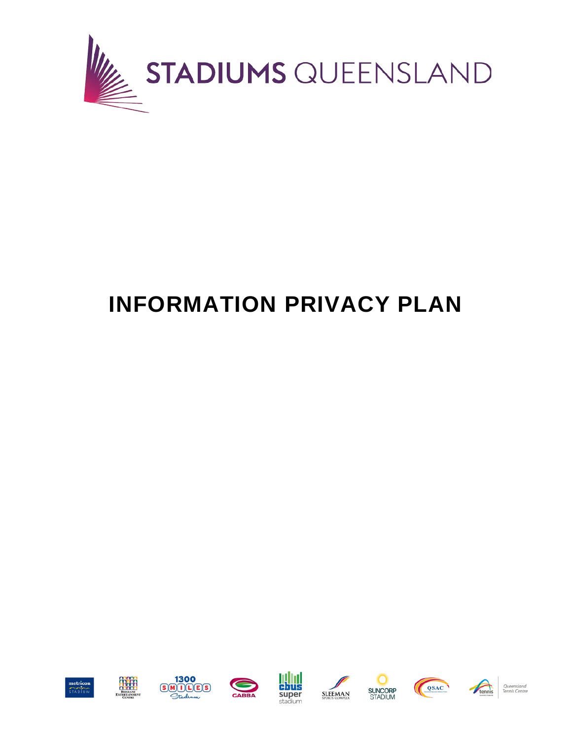

# **INFORMATION PRIVACY PLAN**

















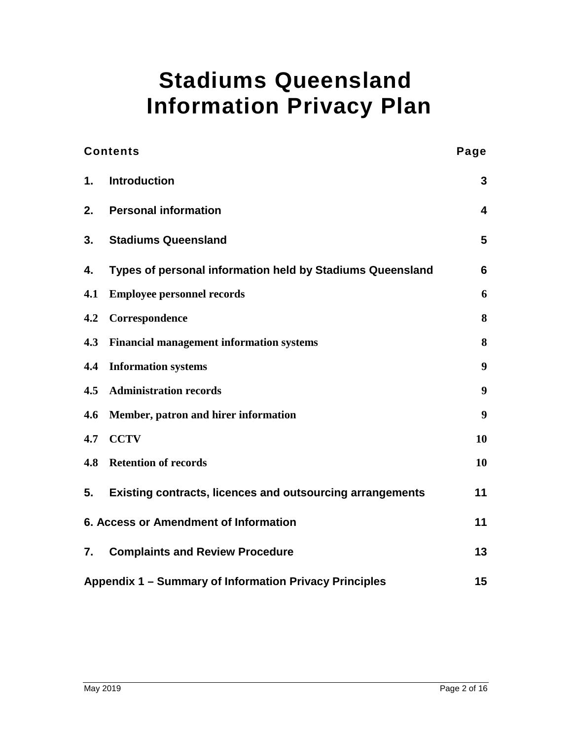## **Stadiums Queensland Information Privacy Plan**

| <b>Contents</b>                                        |                                                                  | Page             |
|--------------------------------------------------------|------------------------------------------------------------------|------------------|
| $\mathbf{1}$ .                                         | <b>Introduction</b>                                              | 3                |
| 2.                                                     | <b>Personal information</b>                                      | 4                |
| 3.                                                     | <b>Stadiums Queensland</b>                                       | $5\phantom{.}$   |
| 4.                                                     | Types of personal information held by Stadiums Queensland        | $6\phantom{1}6$  |
| 4.1                                                    | <b>Employee personnel records</b>                                | 6                |
| 4.2                                                    | Correspondence                                                   | 8                |
| 4.3                                                    | <b>Financial management information systems</b>                  | 8                |
| 4.4                                                    | <b>Information systems</b>                                       | $\boldsymbol{9}$ |
| 4.5                                                    | <b>Administration records</b>                                    | 9                |
| 4.6                                                    | Member, patron and hirer information                             | 9                |
| 4.7                                                    | <b>CCTV</b>                                                      | 10               |
| 4.8                                                    | <b>Retention of records</b>                                      | 10               |
| 5.                                                     | <b>Existing contracts, licences and outsourcing arrangements</b> | 11               |
| 6. Access or Amendment of Information                  |                                                                  | 11               |
| 7.                                                     | <b>Complaints and Review Procedure</b>                           | 13               |
| Appendix 1 – Summary of Information Privacy Principles |                                                                  | 15               |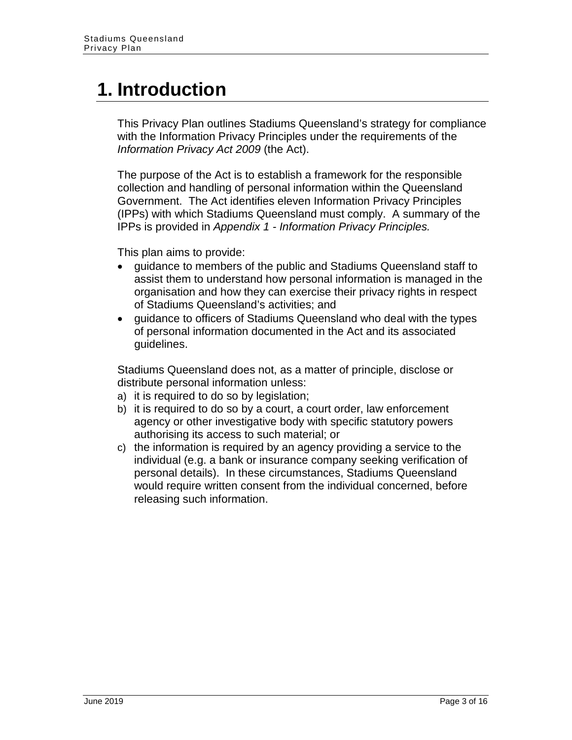### <span id="page-2-0"></span>**1. Introduction**

This Privacy Plan outlines Stadiums Queensland's strategy for compliance with the Information Privacy Principles under the requirements of the *Information Privacy Act 2009* (the Act).

The purpose of the Act is to establish a framework for the responsible collection and handling of personal information within the Queensland Government. The Act identifies eleven Information Privacy Principles (IPPs) with which Stadiums Queensland must comply. A summary of the IPPs is provided in *Appendix 1 - Information Privacy Principles.*

This plan aims to provide:

- guidance to members of the public and Stadiums Queensland staff to assist them to understand how personal information is managed in the organisation and how they can exercise their privacy rights in respect of Stadiums Queensland's activities; and
- guidance to officers of Stadiums Queensland who deal with the types of personal information documented in the Act and its associated guidelines.

Stadiums Queensland does not, as a matter of principle, disclose or distribute personal information unless:

- a) it is required to do so by legislation;
- b) it is required to do so by a court, a court order, law enforcement agency or other investigative body with specific statutory powers authorising its access to such material; or
- c) the information is required by an agency providing a service to the individual (e.g. a bank or insurance company seeking verification of personal details). In these circumstances, Stadiums Queensland would require written consent from the individual concerned, before releasing such information.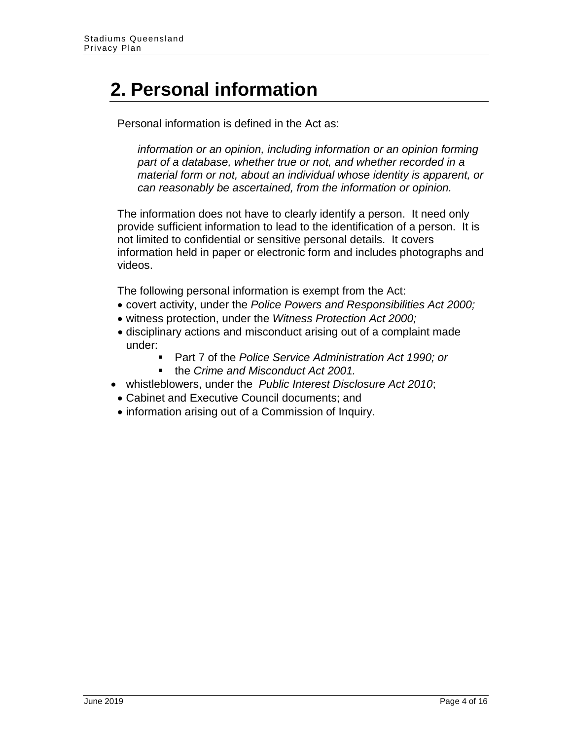## <span id="page-3-0"></span>**2. Personal information**

Personal information is defined in the Act as:

*information or an opinion, including information or an opinion forming part of a database, whether true or not, and whether recorded in a material form or not, about an individual whose identity is apparent, or can reasonably be ascertained, from the information or opinion.*

The information does not have to clearly identify a person. It need only provide sufficient information to lead to the identification of a person. It is not limited to confidential or sensitive personal details. It covers information held in paper or electronic form and includes photographs and videos.

The following personal information is exempt from the Act:

- covert activity, under the *Police Powers and Responsibilities Act 2000;*
- witness protection, under the *Witness Protection Act 2000;*
- disciplinary actions and misconduct arising out of a complaint made under:
	- Part 7 of the *Police Service Administration Act 1990; or*
	- the *Crime and Misconduct Act 2001.*
- whistleblowers, under the *Public Interest Disclosure Act 2010*;
	- Cabinet and Executive Council documents; and
- information arising out of a Commission of Inquiry.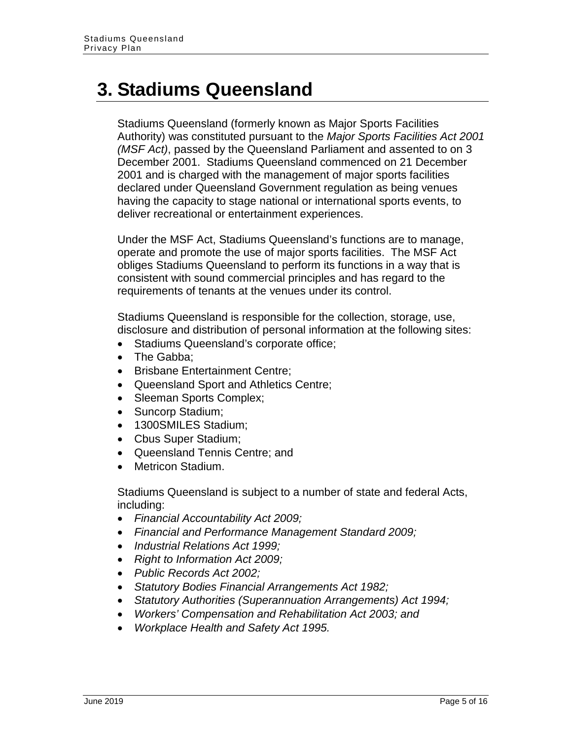### <span id="page-4-0"></span>**3. Stadiums Queensland**

Stadiums Queensland (formerly known as Major Sports Facilities Authority) was constituted pursuant to the *Major Sports Facilities Act 2001 (MSF Act)*, passed by the Queensland Parliament and assented to on 3 December 2001. Stadiums Queensland commenced on 21 December 2001 and is charged with the management of major sports facilities declared under Queensland Government regulation as being venues having the capacity to stage national or international sports events, to deliver recreational or entertainment experiences.

Under the MSF Act, Stadiums Queensland's functions are to manage, operate and promote the use of major sports facilities. The MSF Act obliges Stadiums Queensland to perform its functions in a way that is consistent with sound commercial principles and has regard to the requirements of tenants at the venues under its control.

Stadiums Queensland is responsible for the collection, storage, use, disclosure and distribution of personal information at the following sites:

- Stadiums Queensland's corporate office;
- The Gabba:
- Brisbane Entertainment Centre;
- Queensland Sport and Athletics Centre;
- Sleeman Sports Complex;
- Suncorp Stadium:
- 1300SMILES Stadium;
- Cbus Super Stadium;
- Queensland Tennis Centre; and
- Metricon Stadium.

Stadiums Queensland is subject to a number of state and federal Acts, including:

- *Financial Accountability Act 2009;*
- *Financial and Performance Management Standard 2009;*
- *Industrial Relations Act 1999;*
- *Right to Information Act 2009;*
- *Public Records Act 2002;*
- *Statutory Bodies Financial Arrangements Act 1982;*
- *Statutory Authorities (Superannuation Arrangements) Act 1994;*
- *Workers' Compensation and Rehabilitation Act 2003; and*
- *Workplace Health and Safety Act 1995.*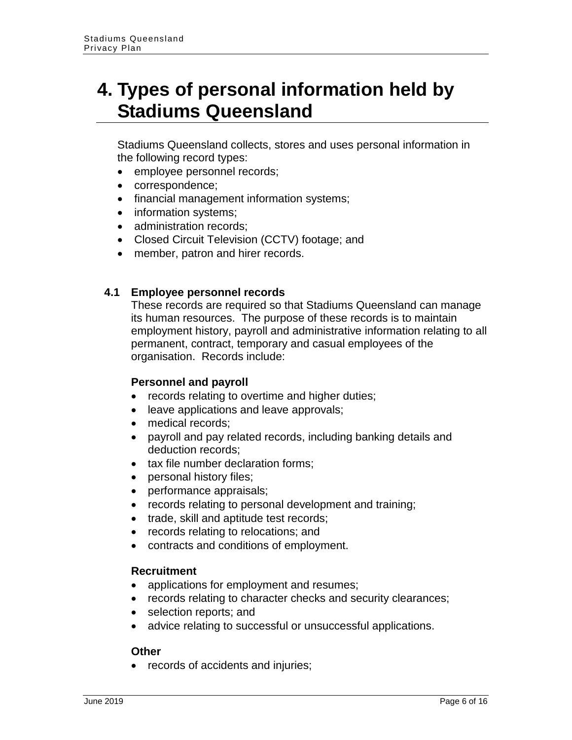### <span id="page-5-0"></span>**4. Types of personal information held by Stadiums Queensland**

Stadiums Queensland collects, stores and uses personal information in the following record types:

- employee personnel records;
- correspondence;
- financial management information systems;
- information systems;
- administration records;
- Closed Circuit Television (CCTV) footage; and
- member, patron and hirer records.

#### <span id="page-5-1"></span>**4.1 Employee personnel records**

These records are required so that Stadiums Queensland can manage its human resources. The purpose of these records is to maintain employment history, payroll and administrative information relating to all permanent, contract, temporary and casual employees of the organisation. Records include:

#### **Personnel and payroll**

- records relating to overtime and higher duties;
- leave applications and leave approvals;
- medical records:
- payroll and pay related records, including banking details and deduction records;
- tax file number declaration forms:
- personal history files;
- performance appraisals;
- records relating to personal development and training;
- trade, skill and aptitude test records;
- records relating to relocations; and
- contracts and conditions of employment.

#### **Recruitment**

- applications for employment and resumes;
- records relating to character checks and security clearances;
- selection reports; and
- advice relating to successful or unsuccessful applications.

#### **Other**

• records of accidents and injuries;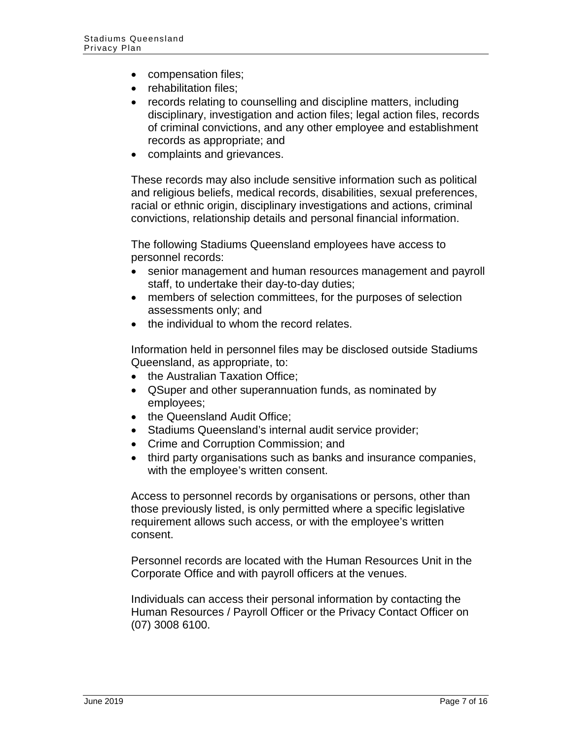- compensation files;
- rehabilitation files;
- records relating to counselling and discipline matters, including disciplinary, investigation and action files; legal action files, records of criminal convictions, and any other employee and establishment records as appropriate; and
- complaints and grievances.

These records may also include sensitive information such as political and religious beliefs, medical records, disabilities, sexual preferences, racial or ethnic origin, disciplinary investigations and actions, criminal convictions, relationship details and personal financial information.

The following Stadiums Queensland employees have access to personnel records:

- senior management and human resources management and payroll staff, to undertake their day-to-day duties;
- members of selection committees, for the purposes of selection assessments only; and
- the individual to whom the record relates.

Information held in personnel files may be disclosed outside Stadiums Queensland, as appropriate, to:

- the Australian Taxation Office;
- QSuper and other superannuation funds, as nominated by employees;
- the Queensland Audit Office:
- Stadiums Queensland's internal audit service provider;
- Crime and Corruption Commission; and
- third party organisations such as banks and insurance companies, with the employee's written consent.

Access to personnel records by organisations or persons, other than those previously listed, is only permitted where a specific legislative requirement allows such access, or with the employee's written consent.

Personnel records are located with the Human Resources Unit in the Corporate Office and with payroll officers at the venues.

Individuals can access their personal information by contacting the Human Resources / Payroll Officer or the Privacy Contact Officer on (07) 3008 6100.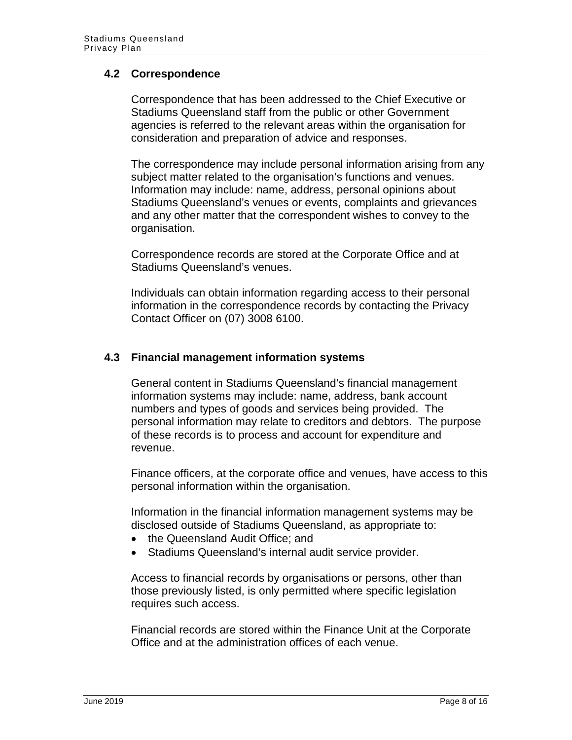#### <span id="page-7-0"></span>**4.2 Correspondence**

Correspondence that has been addressed to the Chief Executive or Stadiums Queensland staff from the public or other Government agencies is referred to the relevant areas within the organisation for consideration and preparation of advice and responses.

The correspondence may include personal information arising from any subject matter related to the organisation's functions and venues. Information may include: name, address, personal opinions about Stadiums Queensland's venues or events, complaints and grievances and any other matter that the correspondent wishes to convey to the organisation.

Correspondence records are stored at the Corporate Office and at Stadiums Queensland's venues.

Individuals can obtain information regarding access to their personal information in the correspondence records by contacting the Privacy Contact Officer on (07) 3008 6100.

#### <span id="page-7-1"></span>**4.3 Financial management information systems**

General content in Stadiums Queensland's financial management information systems may include: name, address, bank account numbers and types of goods and services being provided. The personal information may relate to creditors and debtors. The purpose of these records is to process and account for expenditure and revenue.

Finance officers, at the corporate office and venues, have access to this personal information within the organisation.

Information in the financial information management systems may be disclosed outside of Stadiums Queensland, as appropriate to:

- the Queensland Audit Office; and
- Stadiums Queensland's internal audit service provider.

Access to financial records by organisations or persons, other than those previously listed, is only permitted where specific legislation requires such access.

Financial records are stored within the Finance Unit at the Corporate Office and at the administration offices of each venue.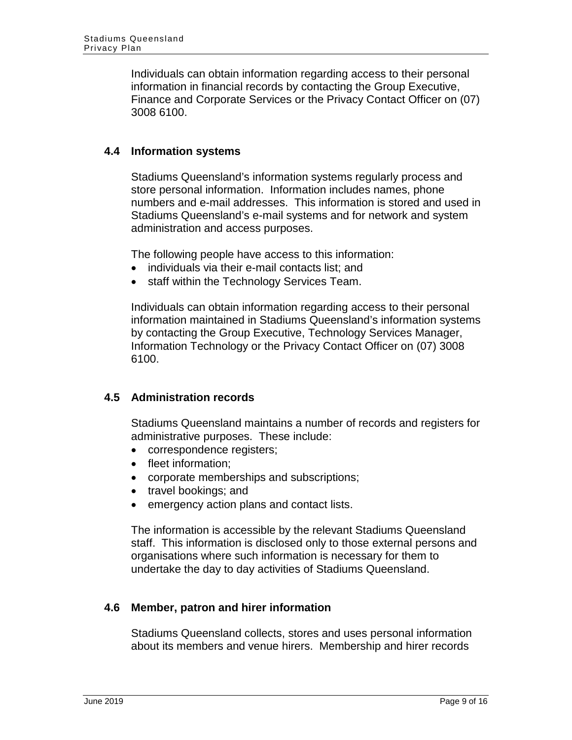Individuals can obtain information regarding access to their personal information in financial records by contacting the Group Executive, Finance and Corporate Services or the Privacy Contact Officer on (07) 3008 6100.

#### <span id="page-8-0"></span>**4.4 Information systems**

Stadiums Queensland's information systems regularly process and store personal information. Information includes names, phone numbers and e-mail addresses. This information is stored and used in Stadiums Queensland's e-mail systems and for network and system administration and access purposes.

The following people have access to this information:

- individuals via their e-mail contacts list; and
- staff within the Technology Services Team.

Individuals can obtain information regarding access to their personal information maintained in Stadiums Queensland's information systems by contacting the Group Executive, Technology Services Manager, Information Technology or the Privacy Contact Officer on (07) 3008 6100.

#### <span id="page-8-1"></span>**4.5 Administration records**

Stadiums Queensland maintains a number of records and registers for administrative purposes. These include:

- correspondence registers;
- fleet information;
- corporate memberships and subscriptions;
- travel bookings; and
- emergency action plans and contact lists.

The information is accessible by the relevant Stadiums Queensland staff. This information is disclosed only to those external persons and organisations where such information is necessary for them to undertake the day to day activities of Stadiums Queensland.

#### <span id="page-8-2"></span>**4.6 Member, patron and hirer information**

Stadiums Queensland collects, stores and uses personal information about its members and venue hirers. Membership and hirer records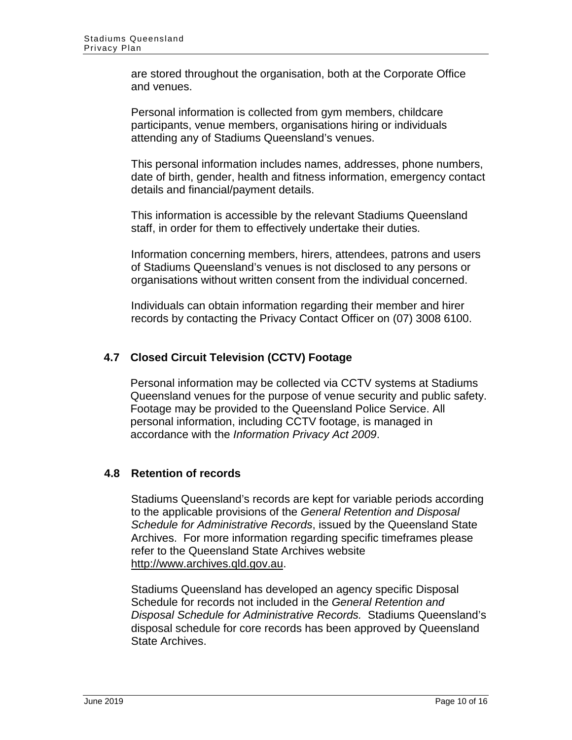are stored throughout the organisation, both at the Corporate Office and venues.

Personal information is collected from gym members, childcare participants, venue members, organisations hiring or individuals attending any of Stadiums Queensland's venues.

This personal information includes names, addresses, phone numbers, date of birth, gender, health and fitness information, emergency contact details and financial/payment details.

This information is accessible by the relevant Stadiums Queensland staff, in order for them to effectively undertake their duties.

Information concerning members, hirers, attendees, patrons and users of Stadiums Queensland's venues is not disclosed to any persons or organisations without written consent from the individual concerned.

Individuals can obtain information regarding their member and hirer records by contacting the Privacy Contact Officer on (07) 3008 6100.

#### <span id="page-9-0"></span>**4.7 Closed Circuit Television (CCTV) Footage**

Personal information may be collected via CCTV systems at Stadiums Queensland venues for the purpose of venue security and public safety. Footage may be provided to the Queensland Police Service. All personal information, including CCTV footage, is managed in accordance with the *Information Privacy Act 2009*.

#### <span id="page-9-1"></span>**4.8 Retention of records**

Stadiums Queensland's records are kept for variable periods according to the applicable provisions of the *[General Retention and Disposal](http://www.archives.qld.gov.au/downloads/GeneralDisposalSchedule.pdf)  [Schedule for Administrative Records](http://www.archives.qld.gov.au/downloads/GeneralDisposalSchedule.pdf)*, issued by the Queensland State Archives. For more information regarding specific timeframes please refer to the Queensland State Archives website [http://www.archives.qld.gov.au.](http://www.archives.qld.gov.au/)

Stadiums Queensland has developed an agency specific Disposal Schedule for records not included in the *General Retention and Disposal Schedule for Administrative Records.* Stadiums Queensland's disposal schedule for core records has been approved by Queensland State Archives.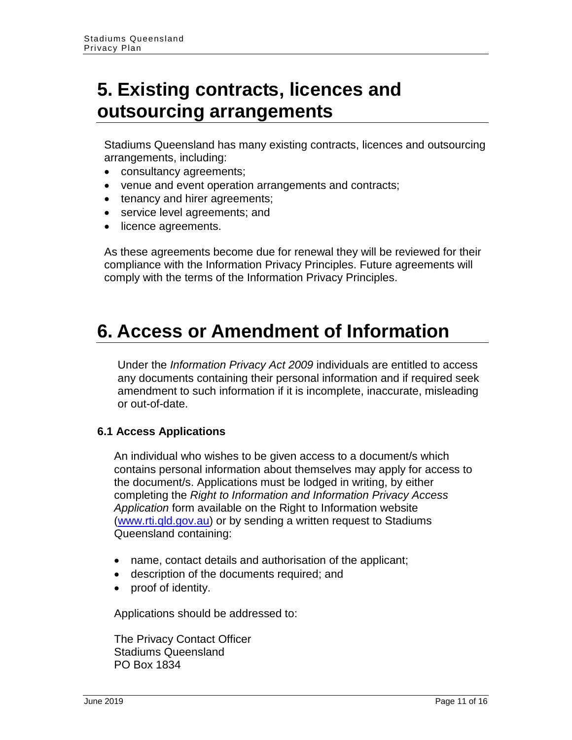### <span id="page-10-0"></span>**5. Existing contracts, licences and outsourcing arrangements**

Stadiums Queensland has many existing contracts, licences and outsourcing arrangements, including:

- consultancy agreements;
- venue and event operation arrangements and contracts;
- tenancy and hirer agreements;
- service level agreements; and
- licence agreements.

As these agreements become due for renewal they will be reviewed for their compliance with the Information Privacy Principles. Future agreements will comply with the terms of the Information Privacy Principles.

### <span id="page-10-1"></span>**6. Access or Amendment of Information**

Under the *Information Privacy Act 2009* individuals are entitled to access any documents containing their personal information and if required seek amendment to such information if it is incomplete, inaccurate, misleading or out-of-date.

#### **6.1 Access Applications**

An individual who wishes to be given access to a document/s which contains personal information about themselves may apply for access to the document/s. Applications must be lodged in writing, by either completing the *Right to Information and Information Privacy Access Application* form available on the Right to Information website [\(www.rti.qld.gov.au\)](http://www.rti.qld.gov.au/) or by sending a written request to Stadiums Queensland containing:

- name, contact details and authorisation of the applicant;
- description of the documents required; and
- proof of identity.

Applications should be addressed to:

The Privacy Contact Officer Stadiums Queensland PO Box 1834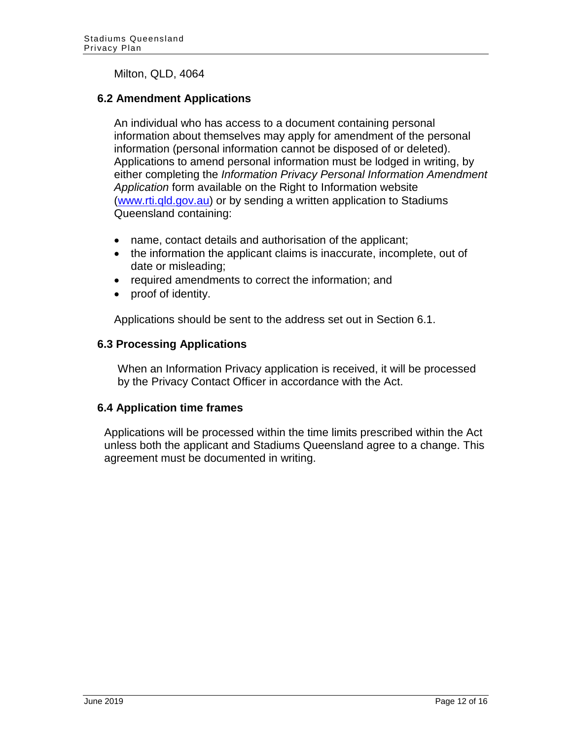#### Milton, QLD, 4064

#### **6.2 Amendment Applications**

An individual who has access to a document containing personal information about themselves may apply for amendment of the personal information (personal information cannot be disposed of or deleted). Applications to amend personal information must be lodged in writing, by either completing the *Information Privacy Personal Information Amendment Application* form available on the Right to Information website [\(www.rti.qld.gov.au\)](http://www.rti.qld.gov.au/) or by sending a written application to Stadiums Queensland containing:

- name, contact details and authorisation of the applicant;
- the information the applicant claims is inaccurate, incomplete, out of date or misleading;
- required amendments to correct the information; and
- proof of identity.

Applications should be sent to the address set out in Section 6.1.

#### **6.3 Processing Applications**

When an Information Privacy application is received, it will be processed by the Privacy Contact Officer in accordance with the Act.

#### **6.4 Application time frames**

Applications will be processed within the time limits prescribed within the Act unless both the applicant and Stadiums Queensland agree to a change. This agreement must be documented in writing.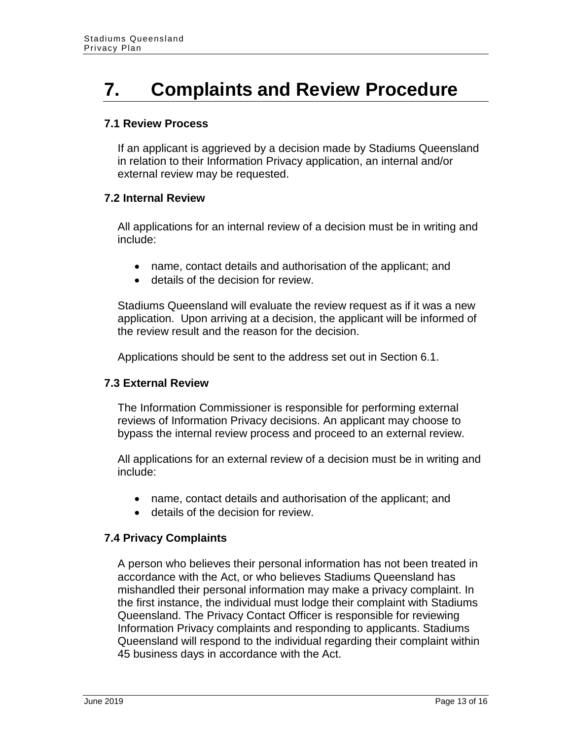## <span id="page-12-0"></span>**7. Complaints and Review Procedure**

#### **7.1 Review Process**

If an applicant is aggrieved by a decision made by Stadiums Queensland in relation to their Information Privacy application, an internal and/or external review may be requested.

#### **7.2 Internal Review**

All applications for an internal review of a decision must be in writing and include:

- name, contact details and authorisation of the applicant; and
- details of the decision for review.

Stadiums Queensland will evaluate the review request as if it was a new application. Upon arriving at a decision, the applicant will be informed of the review result and the reason for the decision.

Applications should be sent to the address set out in Section 6.1.

#### **7.3 External Review**

The Information Commissioner is responsible for performing external reviews of Information Privacy decisions. An applicant may choose to bypass the internal review process and proceed to an external review.

All applications for an external review of a decision must be in writing and include:

- name, contact details and authorisation of the applicant; and
- details of the decision for review.

#### **7.4 Privacy Complaints**

A person who believes their personal information has not been treated in accordance with the Act, or who believes Stadiums Queensland has mishandled their personal information may make a privacy complaint. In the first instance, the individual must lodge their complaint with Stadiums Queensland. The Privacy Contact Officer is responsible for reviewing Information Privacy complaints and responding to applicants. Stadiums Queensland will respond to the individual regarding their complaint within 45 business days in accordance with the Act.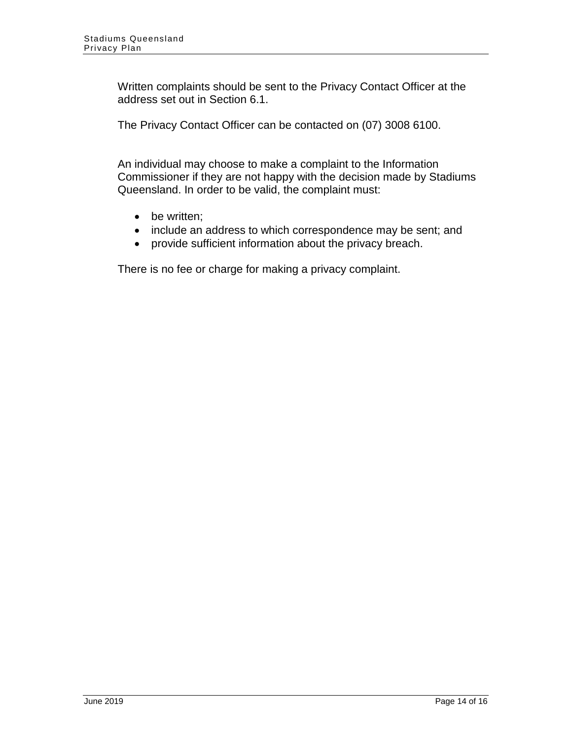Written complaints should be sent to the Privacy Contact Officer at the address set out in Section 6.1.

The Privacy Contact Officer can be contacted on (07) 3008 6100.

An individual may choose to make a complaint to the Information Commissioner if they are not happy with the decision made by Stadiums Queensland. In order to be valid, the complaint must:

- be written;
- include an address to which correspondence may be sent; and
- provide sufficient information about the privacy breach.

There is no fee or charge for making a privacy complaint.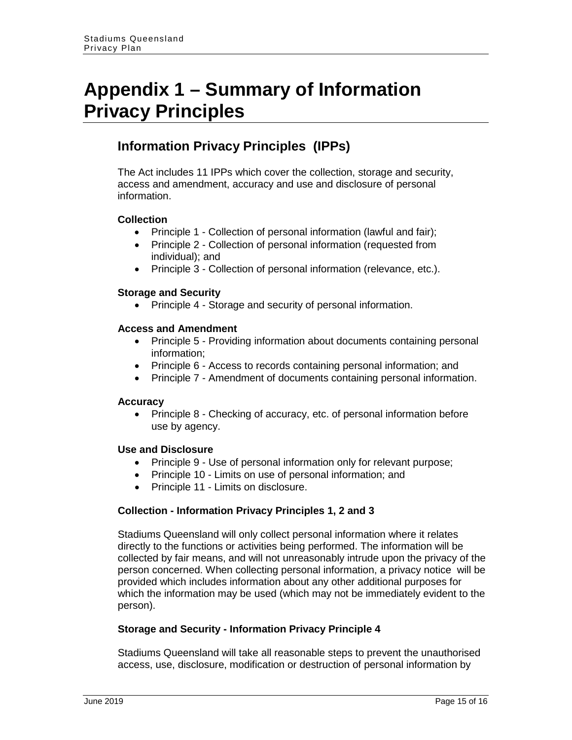### <span id="page-14-0"></span>**Appendix 1 – Summary of Information Privacy Principles**

### **Information Privacy Principles (IPPs)**

The Act includes 11 IPPs which cover the collection, storage and security, access and amendment, accuracy and use and disclosure of personal information.

#### **Collection**

- Principle 1 Collection of personal information (lawful and fair);
- Principle 2 Collection of personal information (requested from individual); and
- Principle 3 Collection of personal information (relevance, etc.).

#### **Storage and Security**

• Principle 4 - Storage and security of personal information.

#### **Access and Amendment**

- Principle 5 Providing information about documents containing personal information;
- Principle 6 Access to records containing personal information; and
- Principle 7 Amendment of documents containing personal information.

#### **Accuracy**

• Principle 8 - Checking of accuracy, etc. of personal information before use by agency.

#### **Use and Disclosure**

- Principle 9 Use of personal information only for relevant purpose;
- Principle 10 Limits on use of personal information; and
- Principle 11 Limits on disclosure.

#### **Collection - Information Privacy Principles 1, 2 and 3**

Stadiums Queensland will only collect personal information where it relates directly to the functions or activities being performed. The information will be collected by fair means, and will not unreasonably intrude upon the privacy of the person concerned. When collecting personal information, a privacy notice will be provided which includes information about any other additional purposes for which the information may be used (which may not be immediately evident to the person).

#### **Storage and Security - Information Privacy Principle 4**

Stadiums Queensland will take all reasonable steps to prevent the unauthorised access, use, disclosure, modification or destruction of personal information by